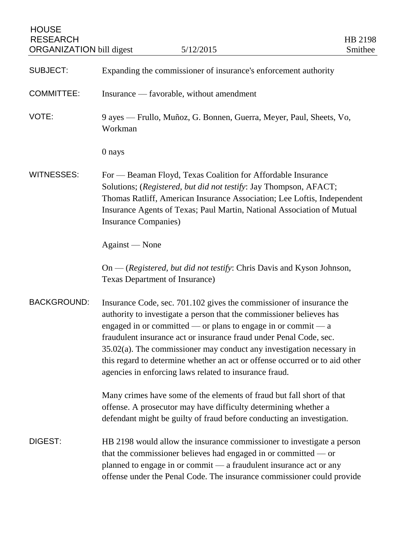| <b>HOUSE</b><br><b>RESEARCH</b><br><b>ORGANIZATION</b> bill digest | 5/12/2015                                                                                                                                                                                                                                                                                                                                                                                                                                                                                                  | HB 2198<br>Smithee |
|--------------------------------------------------------------------|------------------------------------------------------------------------------------------------------------------------------------------------------------------------------------------------------------------------------------------------------------------------------------------------------------------------------------------------------------------------------------------------------------------------------------------------------------------------------------------------------------|--------------------|
| <b>SUBJECT:</b>                                                    | Expanding the commissioner of insurance's enforcement authority                                                                                                                                                                                                                                                                                                                                                                                                                                            |                    |
| <b>COMMITTEE:</b>                                                  | Insurance — favorable, without amendment                                                                                                                                                                                                                                                                                                                                                                                                                                                                   |                    |
| VOTE:                                                              | 9 ayes — Frullo, Muñoz, G. Bonnen, Guerra, Meyer, Paul, Sheets, Vo,<br>Workman                                                                                                                                                                                                                                                                                                                                                                                                                             |                    |
|                                                                    | 0 nays                                                                                                                                                                                                                                                                                                                                                                                                                                                                                                     |                    |
| <b>WITNESSES:</b>                                                  | For — Beaman Floyd, Texas Coalition for Affordable Insurance<br>Solutions; (Registered, but did not testify: Jay Thompson, AFACT;<br>Thomas Ratliff, American Insurance Association; Lee Loftis, Independent<br>Insurance Agents of Texas; Paul Martin, National Association of Mutual<br>Insurance Companies)                                                                                                                                                                                             |                    |
|                                                                    | Against — None                                                                                                                                                                                                                                                                                                                                                                                                                                                                                             |                    |
|                                                                    | On — (Registered, but did not testify: Chris Davis and Kyson Johnson,<br>Texas Department of Insurance)                                                                                                                                                                                                                                                                                                                                                                                                    |                    |
| <b>BACKGROUND:</b>                                                 | Insurance Code, sec. 701.102 gives the commissioner of insurance the<br>authority to investigate a person that the commissioner believes has<br>engaged in or committed — or plans to engage in or commit — $a$<br>fraudulent insurance act or insurance fraud under Penal Code, sec.<br>$35.02(a)$ . The commissioner may conduct any investigation necessary in<br>this regard to determine whether an act or offense occurred or to aid other<br>agencies in enforcing laws related to insurance fraud. |                    |
|                                                                    | Many crimes have some of the elements of fraud but fall short of that<br>offense. A prosecutor may have difficulty determining whether a<br>defendant might be guilty of fraud before conducting an investigation.                                                                                                                                                                                                                                                                                         |                    |
| DIGEST:                                                            | HB 2198 would allow the insurance commissioner to investigate a person<br>that the commissioner believes had engaged in or committed $-$ or<br>planned to engage in or commit - a fraudulent insurance act or any<br>offense under the Penal Code. The insurance commissioner could provide                                                                                                                                                                                                                |                    |